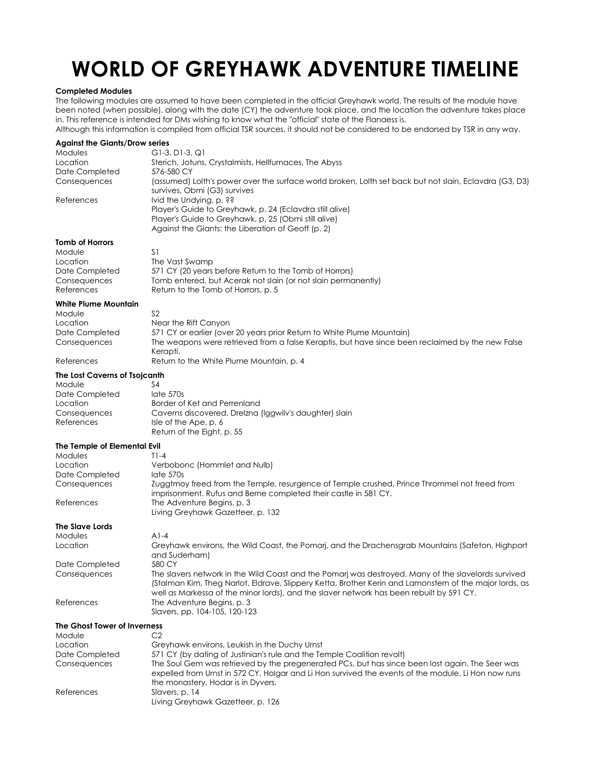# **WORLD OF GREYHAWK ADVENTURE TIMELINE**

## **Completed Modules**

The following modules are assumed to have been completed in the official Greyhawk world. The results of the module have been noted (when possible), along with the date (CY) the adventure took place, and the location the adventure takes place in. This reference is intended for DMs wishing to know what the "official" state of the Flanaess is.

Although this information is compiled from official TSR sources, it should not be considered to be endorsed by TSR in any way.

| <b>Against the Giants/Drow series</b> |                                                                                                                                                                                                   |
|---------------------------------------|---------------------------------------------------------------------------------------------------------------------------------------------------------------------------------------------------|
| Modules                               | G1-3, D1-3, Q1                                                                                                                                                                                    |
| Location                              | Sterich, Jotuns, Crystalmists, Hellfurnaces, The Abyss                                                                                                                                            |
| Date Completed                        | 576-580 CY                                                                                                                                                                                        |
| Consequences                          | (assumed) Lolth's power over the surface world broken, Lolth set back but not slain, Eclavdra (G3, D3)<br>survives, Obmi (G3) survives                                                            |
| References                            | Ivid the Undying, p. ??<br>Player's Guide to Greyhawk, p. 24 (Eclavdra still alive)<br>Player's Guide to Greyhawk, p. 25 (Obmi still alive)<br>Against the Giants: the Liberation of Geoff (p. 2) |
| <b>Tomb of Horrors</b>                |                                                                                                                                                                                                   |
| Module                                | S1                                                                                                                                                                                                |
|                                       | The Vast Swamp                                                                                                                                                                                    |
| Location                              |                                                                                                                                                                                                   |
| Date Completed                        | 571 CY (20 years before Return to the Tomb of Horrors)                                                                                                                                            |
| Consequences                          | Tomb entered, but Acerak not slain (or not slain permanently)                                                                                                                                     |
| References                            | Return to the Tomb of Horrors, p. 5                                                                                                                                                               |
| <b>White Plume Mountain</b>           |                                                                                                                                                                                                   |
| Module                                | S <sub>2</sub>                                                                                                                                                                                    |
| Location                              | Near the Rift Canyon                                                                                                                                                                              |
| Date Completed                        | 571 CY or earlier (over 20 years prior Return to White Plume Mountain)                                                                                                                            |
| Consequences                          | The weapons were retrieved from a false Keraptis, but have since been reclaimed by the new False                                                                                                  |
|                                       | Kerapti.                                                                                                                                                                                          |
| References                            | Return to the White Plume Mountain, p. 4                                                                                                                                                          |
|                                       |                                                                                                                                                                                                   |
| The Lost Caverns of Tsojcanth         |                                                                                                                                                                                                   |
| Module                                | S4                                                                                                                                                                                                |
| Date Completed                        | late 570s                                                                                                                                                                                         |
| Location                              | Border of Ket and Perrenland                                                                                                                                                                      |
| Consequences                          | Caverns discovered, Drelzna (Iggwilv's daughter) slain                                                                                                                                            |
| References                            | Isle of the Ape, p. 6                                                                                                                                                                             |
|                                       | Return of the Eight, p. 55                                                                                                                                                                        |
| The Temple of Elemental Evil          |                                                                                                                                                                                                   |
| Modules                               | $T1-4$                                                                                                                                                                                            |
| Location                              | Verbobonc (Hommlet and Nulb)                                                                                                                                                                      |
|                                       | late 570s                                                                                                                                                                                         |
| Date Completed                        |                                                                                                                                                                                                   |
| Consequences                          | Zuggtmoy freed from the Temple, resurgence of Temple crushed, Prince Thrommel not freed from                                                                                                      |
|                                       | imprisonment. Rufus and Berne completed their castle in 581 CY.                                                                                                                                   |
| References                            | The Adventure Begins, p. 3                                                                                                                                                                        |
|                                       | Living Greyhawk Gazetteer, p. 132                                                                                                                                                                 |
| The Slave Lords                       |                                                                                                                                                                                                   |
| Modules                               | $A1-4$                                                                                                                                                                                            |
| Location                              | Greyhawk environs, the Wild Coast, the Pomarj, and the Drachensgrab Mountains (Safeton, Highport                                                                                                  |
|                                       | and Suderham)                                                                                                                                                                                     |
| Date Completed                        | 580 CY                                                                                                                                                                                            |
| Consequences                          | The slavers network in the Wild Coast and the Pomarj was destroyed. Many of the slavelords survived                                                                                               |
|                                       | (Stalman Kim, Theg Narlot, Eldrave, Slippery Ketta, Brother Kerin and Lamonstern of the major lords, as                                                                                           |
|                                       | well as Markessa of the minor lords), and the slaver network has been rebuilt by 591 CY.                                                                                                          |
|                                       |                                                                                                                                                                                                   |
| References                            | The Adventure Begins, p. 3                                                                                                                                                                        |
|                                       | Slavers, pp. 104-105, 120-123                                                                                                                                                                     |
| The Ghost Tower of Inverness          |                                                                                                                                                                                                   |
| Module                                | C2                                                                                                                                                                                                |
| Location                              | Greyhawk environs, Leukish in the Duchy Urnst                                                                                                                                                     |
| Date Completed                        | 571 CY (by dating of Justinian's rule and the Temple Coalition revolt)                                                                                                                            |
| Consequences                          | The Soul Gem was retrieved by the pregenerated PCs, but has since been lost again. The Seer was                                                                                                   |
|                                       | expelled from Urnst in 572 CY. Holgar and Li Hon survived the events of the module, Li Hon now runs                                                                                               |
|                                       | the monastery, Hodar is in Dyvers.                                                                                                                                                                |
| References                            | Slavers, p. 14                                                                                                                                                                                    |
|                                       | Living Greyhawk Gazetteer, p. 126                                                                                                                                                                 |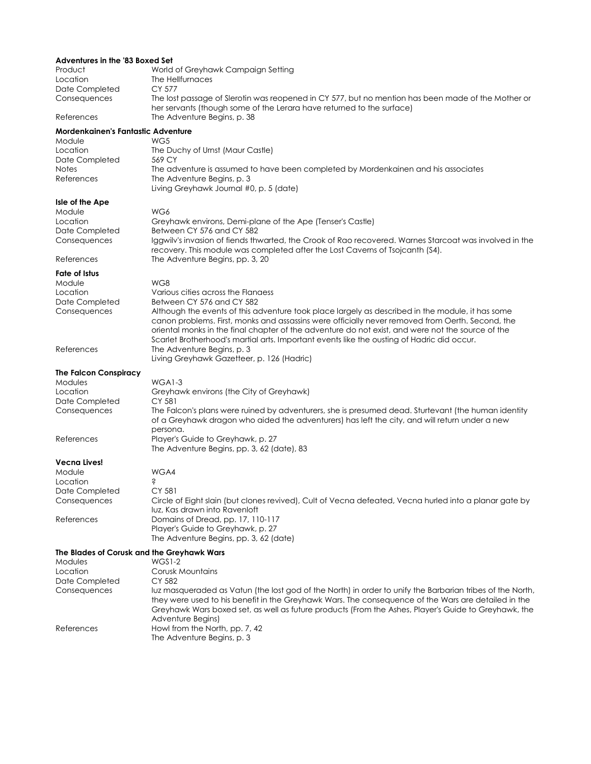# **Adventures in the '83 Boxed Set**

| Product<br>Location<br>Date Completed<br>Consequences | World of Greyhawk Campaign Setting<br>The Hellfurnaces<br>CY 577<br>The lost passage of Slerotin was reopened in CY 577, but no mention has been made of the Mother or                                      |
|-------------------------------------------------------|-------------------------------------------------------------------------------------------------------------------------------------------------------------------------------------------------------------|
| References                                            | her servants (though some of the Lerara have returned to the surface)<br>The Adventure Begins, p. 38                                                                                                        |
| <b>Mordenkainen's Fantastic Adventure</b>             |                                                                                                                                                                                                             |
| Module                                                | WG5                                                                                                                                                                                                         |
| Location                                              | The Duchy of Urnst (Maur Castle)                                                                                                                                                                            |
| Date Completed<br><b>Notes</b>                        | 569 CY<br>The adventure is assumed to have been completed by Mordenkainen and his associates                                                                                                                |
| References                                            | The Adventure Begins, p. 3                                                                                                                                                                                  |
|                                                       | Living Greyhawk Journal #0, p. 5 (date)                                                                                                                                                                     |
| Isle of the Ape                                       |                                                                                                                                                                                                             |
| Module                                                | WG6                                                                                                                                                                                                         |
| Location<br>Date Completed                            | Greyhawk environs, Demi-plane of the Ape (Tenser's Castle)<br>Between CY 576 and CY 582                                                                                                                     |
| Consequences                                          | Iggwilv's invasion of fiends thwarted, the Crook of Rao recovered. Warnes Starcoat was involved in the                                                                                                      |
|                                                       | recovery. This module was completed after the Lost Caverns of Tsojcanth (S4).                                                                                                                               |
| References                                            | The Adventure Begins, pp. 3, 20                                                                                                                                                                             |
| <b>Fate of Istus</b>                                  |                                                                                                                                                                                                             |
| Module                                                | WG8                                                                                                                                                                                                         |
| Location                                              | Various cities across the Flanaess                                                                                                                                                                          |
| Date Completed<br>Consequences                        | Between CY 576 and CY 582<br>Although the events of this adventure took place largely as described in the module, it has some                                                                               |
|                                                       | canon problems. First, monks and assassins were officially never removed from Oerth. Second, the                                                                                                            |
|                                                       | oriental monks in the final chapter of the adventure do not exist, and were not the source of the                                                                                                           |
|                                                       | Scarlet Brotherhood's martial arts. Important events like the ousting of Hadric did occur.                                                                                                                  |
| References                                            | The Adventure Begins, p. 3                                                                                                                                                                                  |
|                                                       | Living Greyhawk Gazetteer, p. 126 (Hadric)                                                                                                                                                                  |
| <b>The Falcon Conspiracy</b>                          |                                                                                                                                                                                                             |
| Modules                                               | $WGAI-3$                                                                                                                                                                                                    |
| Location<br>Date Completed                            | Greyhawk environs (the City of Greyhawk)<br>CY 581                                                                                                                                                          |
| Consequences                                          | The Falcon's plans were ruined by adventurers, she is presumed dead. Sturtevant (the human identity                                                                                                         |
|                                                       | of a Greyhawk dragon who aided the adventurers) has left the city, and will return under a new                                                                                                              |
|                                                       | persona.                                                                                                                                                                                                    |
| References                                            | Player's Guide to Greyhawk, p. 27<br>The Adventure Begins, pp. 3, 62 (date), 83                                                                                                                             |
|                                                       |                                                                                                                                                                                                             |
| <b>Vecna Lives!</b><br>Module                         | WGA4                                                                                                                                                                                                        |
| Location                                              | Ŝ                                                                                                                                                                                                           |
| Date Completed                                        | CY 581                                                                                                                                                                                                      |
| Consequences                                          | Circle of Eight slain (but clones revived), Cult of Vecna defeated, Vecna hurled into a planar gate by                                                                                                      |
|                                                       | luz, Kas drawn into Ravenloft                                                                                                                                                                               |
| References                                            | Domains of Dread, pp. 17, 110-117                                                                                                                                                                           |
|                                                       | Player's Guide to Greyhawk, p. 27<br>The Adventure Begins, pp. 3, 62 (date)                                                                                                                                 |
| The Blades of Corusk and the Greyhawk Wars            |                                                                                                                                                                                                             |
| Modules                                               | WGS1-2                                                                                                                                                                                                      |
| Location                                              | Corusk Mountains                                                                                                                                                                                            |
| Date Completed                                        | CY 582                                                                                                                                                                                                      |
| Consequences                                          | luz masqueraded as Vatun (the lost god of the North) in order to unify the Barbarian tribes of the North,                                                                                                   |
|                                                       | they were used to his benefit in the Greyhawk Wars. The consequence of the Wars are detailed in the<br>Greyhawk Wars boxed set, as well as future products (From the Ashes, Player's Guide to Greyhawk, the |
|                                                       | Adventure Begins)                                                                                                                                                                                           |
| References                                            | Howl from the North, pp. 7, 42                                                                                                                                                                              |

The Adventure Begins, p. 3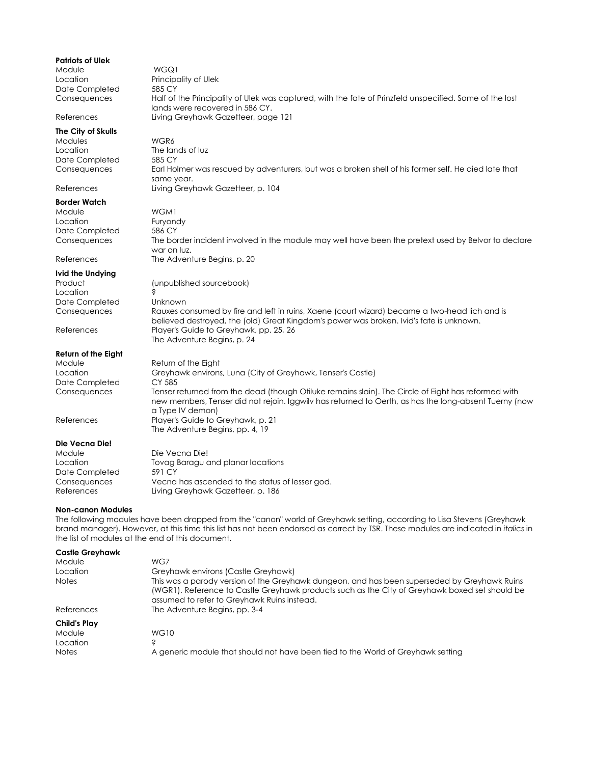| <b>Patriots of Ulek</b>    |                                                                                                         |
|----------------------------|---------------------------------------------------------------------------------------------------------|
| Module                     | WGQ1                                                                                                    |
| Location                   | Principality of Ulek                                                                                    |
| Date Completed             | 585 CY                                                                                                  |
| Consequences               | Half of the Principality of Ulek was captured, with the fate of Prinzfeld unspecified. Some of the lost |
| References                 | lands were recovered in 586 CY.<br>Living Greyhawk Gazetteer, page 121                                  |
|                            |                                                                                                         |
| The City of Skulls         | WGR6                                                                                                    |
| Modules<br>Location        | The lands of luz                                                                                        |
| Date Completed             | 585 CY                                                                                                  |
| Consequences               | Earl Holmer was rescued by adventurers, but was a broken shell of his former self. He died late that    |
|                            | same year.                                                                                              |
| References                 | Living Greyhawk Gazetteer, p. 104                                                                       |
| <b>Border Watch</b>        |                                                                                                         |
| Module                     | WGM1                                                                                                    |
| Location                   | Furyondy                                                                                                |
| Date Completed             | 586 CY                                                                                                  |
| Consequences               | The border incident involved in the module may well have been the pretext used by Belvor to declare     |
|                            | war on luz.                                                                                             |
| References                 | The Adventure Begins, p. 20                                                                             |
| Ivid the Undying           |                                                                                                         |
| Product                    | (unpublished sourcebook)                                                                                |
| Location<br>Date Completed | S<br>Unknown                                                                                            |
| Consequences               | Rauxes consumed by fire and left in ruins, Xaene (court wizard) became a two-head lich and is           |
|                            | believed destroyed, the (old) Great Kingdom's power was broken. Ivid's fate is unknown.                 |
| References                 | Player's Guide to Greyhawk, pp. 25, 26                                                                  |
|                            | The Adventure Begins, p. 24                                                                             |
| <b>Return of the Eight</b> |                                                                                                         |
| Module                     | Return of the Eight                                                                                     |
| Location                   | Greyhawk environs, Luna (City of Greyhawk, Tenser's Castle)                                             |
| Date Completed             | CY 585                                                                                                  |
| Consequences               | Tenser returned from the dead (though Otiluke remains slain). The Circle of Eight has reformed with     |
|                            | new members, Tenser did not rejoin. Iggwilv has returned to Oerth, as has the long-absent Tuerny (now   |
| References                 | a Type IV demon)<br>Player's Guide to Greyhawk, p. 21                                                   |
|                            | The Adventure Begins, pp. 4, 19                                                                         |
| Die Vecna Die!             |                                                                                                         |
| Module                     | Die Vecna Die!                                                                                          |
| Location                   | Tovag Baragu and planar locations                                                                       |
| Date Completed             | 591 CY                                                                                                  |
| Consequences               | Vecna has ascended to the status of lesser god.                                                         |
| References                 | Living Greyhawk Gazetteer, p. 186                                                                       |
|                            |                                                                                                         |

#### **Non-canon Modules**

The following modules have been dropped from the "canon" world of Greyhawk setting, according to Lisa Stevens (Greyhawk brand manager). However, at this time this list has not been endorsed as correct by TSR. These modules are indicated in *italics* in the list of modules at the end of this document.

| <b>Castle Greyhawk</b><br>Module<br>Location<br><b>Notes</b> | WG7<br>Greyhawk environs (Castle Greyhawk)<br>This was a parody version of the Greyhawk dungeon, and has been superseded by Greyhawk Ruins<br>(WGR1). Reference to Castle Greyhawk products such as the City of Greyhawk boxed set should be<br>assumed to refer to Greyhawk Ruins instead. |
|--------------------------------------------------------------|---------------------------------------------------------------------------------------------------------------------------------------------------------------------------------------------------------------------------------------------------------------------------------------------|
| References                                                   | The Adventure Begins, pp. 3-4                                                                                                                                                                                                                                                               |
| <b>Child's Play</b><br>Module<br>Location<br><b>Notes</b>    | <b>WG10</b><br>S<br>A generic module that should not have been tied to the World of Greyhawk setting                                                                                                                                                                                        |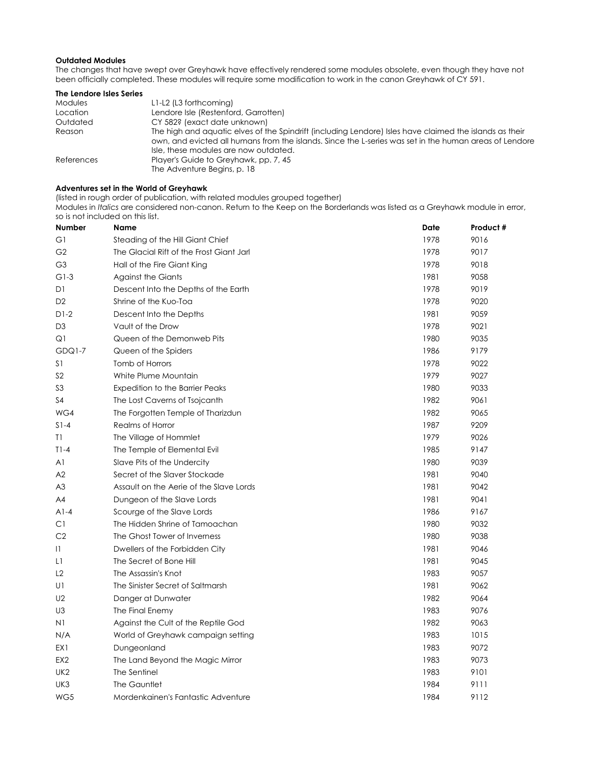#### **Outdated Modules**

The changes that have swept over Greyhawk have effectively rendered some modules obsolete, even though they have not been officially completed. These modules will require some modification to work in the canon Greyhawk of CY 591.

| The Lendore Isles Series |                                                                                                                                                                                                                                                            |
|--------------------------|------------------------------------------------------------------------------------------------------------------------------------------------------------------------------------------------------------------------------------------------------------|
| Modules                  | L1-L2 (L3 forthcoming)                                                                                                                                                                                                                                     |
| Location                 | Lendore Isle (Restenford, Garrotten)                                                                                                                                                                                                                       |
| Outdated                 | CY 582? (exact date unknown)                                                                                                                                                                                                                               |
| Reason                   | The high and aguatic elves of the Spindrift (including Lendore) Isles have claimed the islands as their<br>own, and evicted all humans from the islands. Since the L-series was set in the human areas of Lendore<br>Isle, these modules are now outdated. |
| References               | Player's Guide to Greyhawk, pp. 7, 45<br>The Adventure Begins, p. 18                                                                                                                                                                                       |

## **Adventures set in the World of Greyhawk**

(listed in rough order of publication, with related modules grouped together)

Modules in *Italics* are considered non-canon. Return to the Keep on the Borderlands was listed as a Greyhawk module in error, so is not included on this list.

| Number          | <b>Name</b>                              | Date | Product # |
|-----------------|------------------------------------------|------|-----------|
| G1              | Steading of the Hill Giant Chief         | 1978 | 9016      |
| G <sub>2</sub>  | The Glacial Rift of the Frost Giant Jarl | 1978 | 9017      |
| G <sub>3</sub>  | Hall of the Fire Giant King              | 1978 | 9018      |
| $G1-3$          | Against the Giants                       | 1981 | 9058      |
| D1              | Descent Into the Depths of the Earth     | 1978 | 9019      |
| D <sub>2</sub>  | Shrine of the Kuo-Toa                    | 1978 | 9020      |
| $D1-2$          | Descent Into the Depths                  | 1981 | 9059      |
| D <sub>3</sub>  | Vault of the Drow                        | 1978 | 9021      |
| Q1              | Queen of the Demonweb Pits               | 1980 | 9035      |
| GDQ1-7          | Queen of the Spiders                     | 1986 | 9179      |
| S <sub>1</sub>  | Tomb of Horrors                          | 1978 | 9022      |
| S <sub>2</sub>  | White Plume Mountain                     | 1979 | 9027      |
| S <sub>3</sub>  | <b>Expedition to the Barrier Peaks</b>   | 1980 | 9033      |
| S <sub>4</sub>  | The Lost Caverns of Tsojcanth            | 1982 | 9061      |
| WG4             | The Forgotten Temple of Tharizdun        | 1982 | 9065      |
| $S1-4$          | Realms of Horror                         | 1987 | 9209      |
| T1              | The Village of Hommlet                   | 1979 | 9026      |
| $T1-4$          | The Temple of Elemental Evil             | 1985 | 9147      |
| A1              | Slave Pits of the Undercity              | 1980 | 9039      |
| A2              | Secret of the Slaver Stockade            | 1981 | 9040      |
| A <sub>3</sub>  | Assault on the Aerie of the Slave Lords  | 1981 | 9042      |
| A4              | Dungeon of the Slave Lords               | 1981 | 9041      |
| $A1-4$          | Scourge of the Slave Lords               | 1986 | 9167      |
| C1              | The Hidden Shrine of Tamoachan           | 1980 | 9032      |
| C <sub>2</sub>  | The Ghost Tower of Inverness             | 1980 | 9038      |
| $\mathbf{1}$    | Dwellers of the Forbidden City           | 1981 | 9046      |
| L1              | The Secret of Bone Hill                  | 1981 | 9045      |
| L2              | The Assassin's Knot                      | 1983 | 9057      |
| U1              | The Sinister Secret of Saltmarsh         | 1981 | 9062      |
| U2              | Danger at Dunwater                       | 1982 | 9064      |
| U3              | The Final Enemy                          | 1983 | 9076      |
| N1              | Against the Cult of the Reptile God      | 1982 | 9063      |
| N/A             | World of Greyhawk campaign setting       | 1983 | 1015      |
| EX1             | Dungeonland                              | 1983 | 9072      |
| EX <sub>2</sub> | The Land Beyond the Magic Mirror         | 1983 | 9073      |
| UK <sub>2</sub> | The Sentinel                             | 1983 | 9101      |
| UK3             | The Gauntlet                             | 1984 | 9111      |
| WG5             | Mordenkainen's Fantastic Adventure       | 1984 | 9112      |